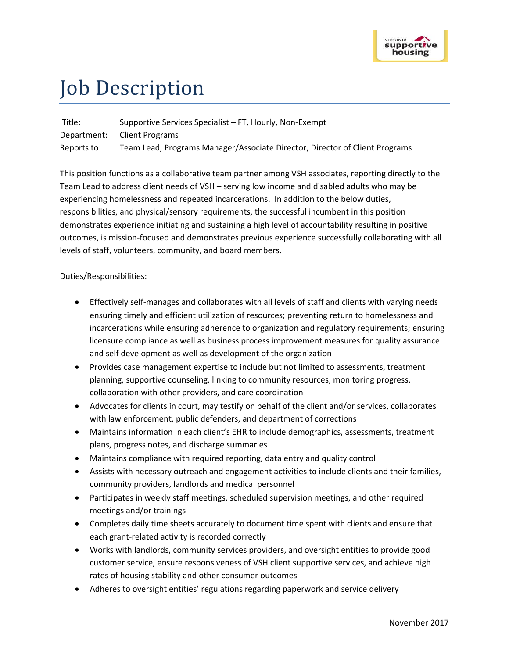

## Job Description

Title: Supportive Services Specialist – FT, Hourly, Non-Exempt Department: Client Programs Reports to: Team Lead, Programs Manager/Associate Director, Director of Client Programs

This position functions as a collaborative team partner among VSH associates, reporting directly to the Team Lead to address client needs of VSH – serving low income and disabled adults who may be experiencing homelessness and repeated incarcerations. In addition to the below duties, responsibilities, and physical/sensory requirements, the successful incumbent in this position demonstrates experience initiating and sustaining a high level of accountability resulting in positive outcomes, is mission-focused and demonstrates previous experience successfully collaborating with all levels of staff, volunteers, community, and board members.

## Duties/Responsibilities:

- Effectively self-manages and collaborates with all levels of staff and clients with varying needs ensuring timely and efficient utilization of resources; preventing return to homelessness and incarcerations while ensuring adherence to organization and regulatory requirements; ensuring licensure compliance as well as business process improvement measures for quality assurance and self development as well as development of the organization
- Provides case management expertise to include but not limited to assessments, treatment planning, supportive counseling, linking to community resources, monitoring progress, collaboration with other providers, and care coordination
- Advocates for clients in court, may testify on behalf of the client and/or services, collaborates with law enforcement, public defenders, and department of corrections
- Maintains information in each client's EHR to include demographics, assessments, treatment plans, progress notes, and discharge summaries
- Maintains compliance with required reporting, data entry and quality control
- Assists with necessary outreach and engagement activities to include clients and their families, community providers, landlords and medical personnel
- Participates in weekly staff meetings, scheduled supervision meetings, and other required meetings and/or trainings
- Completes daily time sheets accurately to document time spent with clients and ensure that each grant-related activity is recorded correctly
- Works with landlords, community services providers, and oversight entities to provide good customer service, ensure responsiveness of VSH client supportive services, and achieve high rates of housing stability and other consumer outcomes
- Adheres to oversight entities' regulations regarding paperwork and service delivery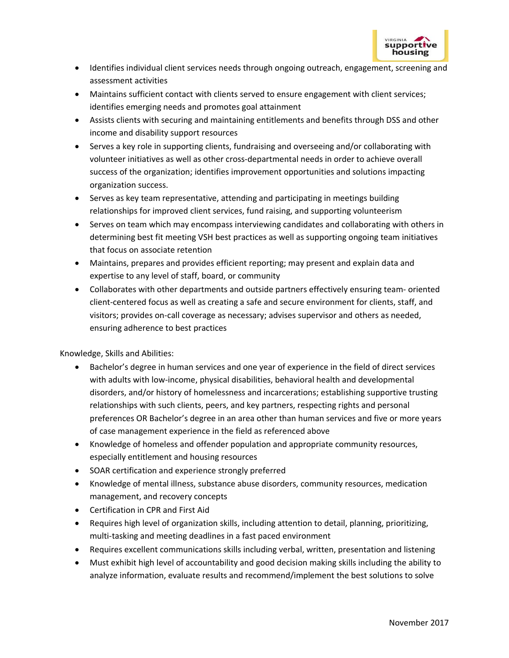

- Identifies individual client services needs through ongoing outreach, engagement, screening and assessment activities
- Maintains sufficient contact with clients served to ensure engagement with client services; identifies emerging needs and promotes goal attainment
- Assists clients with securing and maintaining entitlements and benefits through DSS and other income and disability support resources
- Serves a key role in supporting clients, fundraising and overseeing and/or collaborating with volunteer initiatives as well as other cross-departmental needs in order to achieve overall success of the organization; identifies improvement opportunities and solutions impacting organization success.
- Serves as key team representative, attending and participating in meetings building relationships for improved client services, fund raising, and supporting volunteerism
- Serves on team which may encompass interviewing candidates and collaborating with others in determining best fit meeting VSH best practices as well as supporting ongoing team initiatives that focus on associate retention
- Maintains, prepares and provides efficient reporting; may present and explain data and expertise to any level of staff, board, or community
- Collaborates with other departments and outside partners effectively ensuring team- oriented client-centered focus as well as creating a safe and secure environment for clients, staff, and visitors; provides on-call coverage as necessary; advises supervisor and others as needed, ensuring adherence to best practices

Knowledge, Skills and Abilities:

- Bachelor's degree in human services and one year of experience in the field of direct services with adults with low-income, physical disabilities, behavioral health and developmental disorders, and/or history of homelessness and incarcerations; establishing supportive trusting relationships with such clients, peers, and key partners, respecting rights and personal preferences OR Bachelor's degree in an area other than human services and five or more years of case management experience in the field as referenced above
- Knowledge of homeless and offender population and appropriate community resources, especially entitlement and housing resources
- SOAR certification and experience strongly preferred
- Knowledge of mental illness, substance abuse disorders, community resources, medication management, and recovery concepts
- Certification in CPR and First Aid
- Requires high level of organization skills, including attention to detail, planning, prioritizing, multi-tasking and meeting deadlines in a fast paced environment
- Requires excellent communications skills including verbal, written, presentation and listening
- Must exhibit high level of accountability and good decision making skills including the ability to analyze information, evaluate results and recommend/implement the best solutions to solve